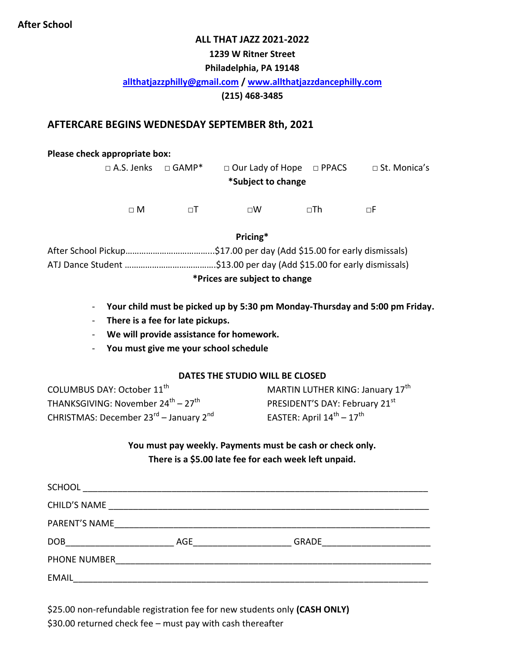#### **After School**

#### **ALL THAT JAZZ 2021-2022**

### **1239 W Ritner Street**

#### **Philadelphia, PA 19148**

#### **[allthatjazzphilly@gmail.com](mailto:allthatjazzphilly@gmail.com) / [www.allthatjazzdancephilly.com](http://www.allthatjazzdancephilly.com/)**

**(215) 468-3485**

#### **AFTERCARE BEGINS WEDNESDAY SEPTEMBER 8th, 2021**

#### **Please check appropriate box:**

| $\Box$ A.S. Jenks $\Box$ GAMP* |     | $\Box$ Our Lady of Hope $\Box$ PPACS |           | □ St. Monica's |  |  |  |
|--------------------------------|-----|--------------------------------------|-----------|----------------|--|--|--|
| *Subject to change             |     |                                      |           |                |  |  |  |
| $\sqcap M$                     | пT. | $\sqcap W$                           | $\neg Th$ | пF             |  |  |  |
|                                |     |                                      |           |                |  |  |  |

**Pricing\***

| *Prices are subject to change |  |  |
|-------------------------------|--|--|
|                               |  |  |
|                               |  |  |

- **Your child must be picked up by 5:30 pm Monday-Thursday and 5:00 pm Friday.**
- **There is a fee for late pickups.**
- **We will provide assistance for homework.**
- **You must give me your school schedule**

#### **DATES THE STUDIO WILL BE CLOSED**

COLUMBUS DAY: October 11<sup>th</sup> THANKSGIVING: November 24 $^{\rm th}$  – 27 $^{\rm th}$ CHRISTMAS: December 23<sup>rd</sup> – January 2<sup>nd</sup> MARTIN LUTHER KING: January 17<sup>th</sup> PRESIDENT'S DAY: February 21st EASTER: April 14<sup>th</sup> – 17<sup>th</sup>

**You must pay weekly. Payments must be cash or check only. There is a \$5.00 late fee for each week left unpaid.**

| <b>SCHOOL</b>       |                |                           |  |  |
|---------------------|----------------|---------------------------|--|--|
| <b>CHILD'S NAME</b> |                |                           |  |  |
| PARENT'S NAME       |                |                           |  |  |
| <b>DOB</b>          | AGE <b>AGE</b> | GRADE <u>____________</u> |  |  |
| PHONE NUMBER        |                |                           |  |  |
| <b>EMAIL</b>        |                |                           |  |  |

\$25.00 non-refundable registration fee for new students only **(CASH ONLY)** \$30.00 returned check fee – must pay with cash thereafter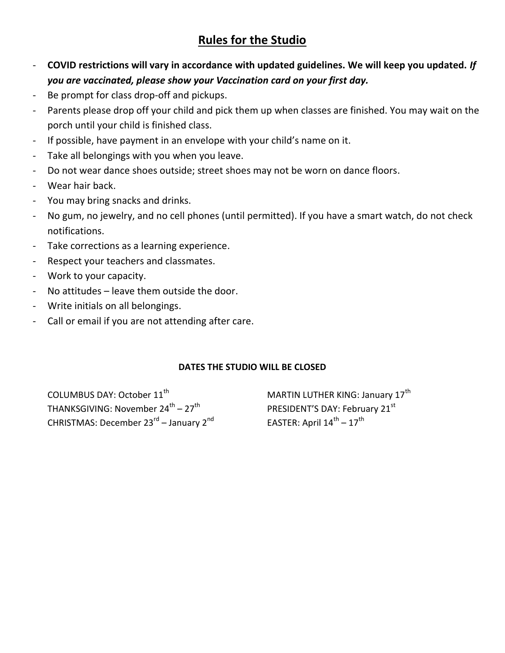## **Rules for the Studio**

- **COVID restrictions will vary in accordance with updated guidelines. We will keep you updated.** *If you are vaccinated, please show your Vaccination card on your first day.*
- Be prompt for class drop-off and pickups.
- Parents please drop off your child and pick them up when classes are finished. You may wait on the porch until your child is finished class.
- If possible, have payment in an envelope with your child's name on it.
- Take all belongings with you when you leave.
- Do not wear dance shoes outside; street shoes may not be worn on dance floors.
- Wear hair back.
- You may bring snacks and drinks.
- No gum, no jewelry, and no cell phones (until permitted). If you have a smart watch, do not check notifications.
- Take corrections as a learning experience.
- Respect your teachers and classmates.
- Work to your capacity.
- No attitudes leave them outside the door.
- Write initials on all belongings.
- Call or email if you are not attending after care.

#### **DATES THE STUDIO WILL BE CLOSED**

COLUMBUS DAY: October 11<sup>th</sup> THANKSGIVING: November 24 $^{\rm th}$  – 27 $^{\rm th}$ CHRISTMAS: December 23<sup>rd</sup> – January 2<sup>nd</sup> MARTIN LUTHER KING: January 17<sup>th</sup> PRESIDENT'S DAY: February 21st EASTER: April 14<sup>th</sup> – 17<sup>th</sup>